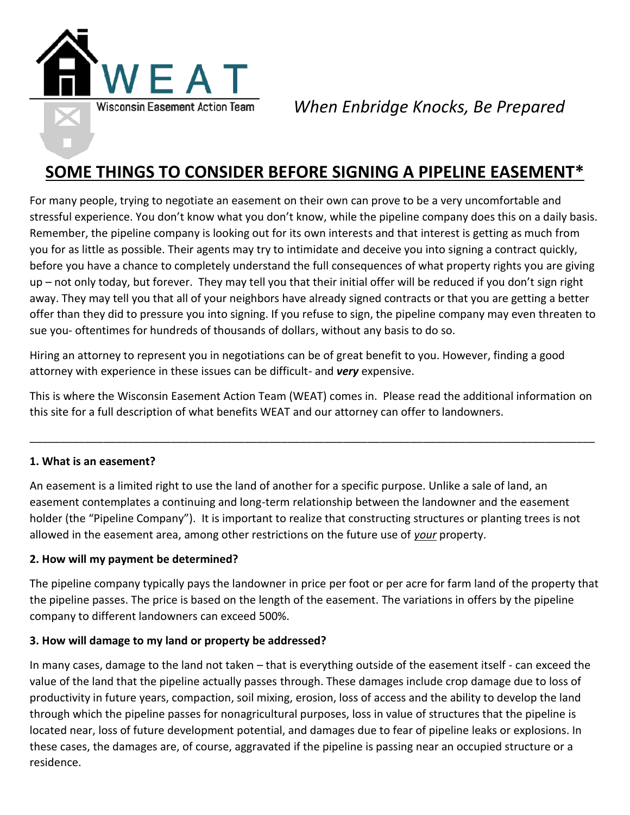

*When Enbridge Knocks, Be Prepared*

# **SOME THINGS TO CONSIDER BEFORE SIGNING A PIPELINE EASEMENT\***

For many people, trying to negotiate an easement on their own can prove to be a very uncomfortable and stressful experience. You don't know what you don't know, while the pipeline company does this on a daily basis. Remember, the pipeline company is looking out for its own interests and that interest is getting as much from you for as little as possible. Their agents may try to intimidate and deceive you into signing a contract quickly, before you have a chance to completely understand the full consequences of what property rights you are giving up – not only today, but forever. They may tell you that their initial offer will be reduced if you don't sign right away. They may tell you that all of your neighbors have already signed contracts or that you are getting a better offer than they did to pressure you into signing. If you refuse to sign, the pipeline company may even threaten to sue you- oftentimes for hundreds of thousands of dollars, without any basis to do so.

Hiring an attorney to represent you in negotiations can be of great benefit to you. However, finding a good attorney with experience in these issues can be difficult- and *very* expensive.

This is where the Wisconsin Easement Action Team (WEAT) comes in. Please read the additional information on this site for a full description of what benefits WEAT and our attorney can offer to landowners.

\_\_\_\_\_\_\_\_\_\_\_\_\_\_\_\_\_\_\_\_\_\_\_\_\_\_\_\_\_\_\_\_\_\_\_\_\_\_\_\_\_\_\_\_\_\_\_\_\_\_\_\_\_\_\_\_\_\_\_\_\_\_\_\_\_\_\_\_\_\_\_\_\_\_\_\_\_\_\_\_\_\_\_\_\_\_\_\_\_\_\_\_

## **1. What is an easement?**

An easement is a limited right to use the land of another for a specific purpose. Unlike a sale of land, an easement contemplates a continuing and long-term relationship between the landowner and the easement holder (the "Pipeline Company"). It is important to realize that constructing structures or planting trees is not allowed in the easement area, among other restrictions on the future use of *your* property.

## **2. How will my payment be determined?**

The pipeline company typically pays the landowner in price per foot or per acre for farm land of the property that the pipeline passes. The price is based on the length of the easement. The variations in offers by the pipeline company to different landowners can exceed 500%.

#### **3. How will damage to my land or property be addressed?**

In many cases, damage to the land not taken – that is everything outside of the easement itself - can exceed the value of the land that the pipeline actually passes through. These damages include crop damage due to loss of productivity in future years, compaction, soil mixing, erosion, loss of access and the ability to develop the land through which the pipeline passes for nonagricultural purposes, loss in value of structures that the pipeline is located near, loss of future development potential, and damages due to fear of pipeline leaks or explosions. In these cases, the damages are, of course, aggravated if the pipeline is passing near an occupied structure or a residence.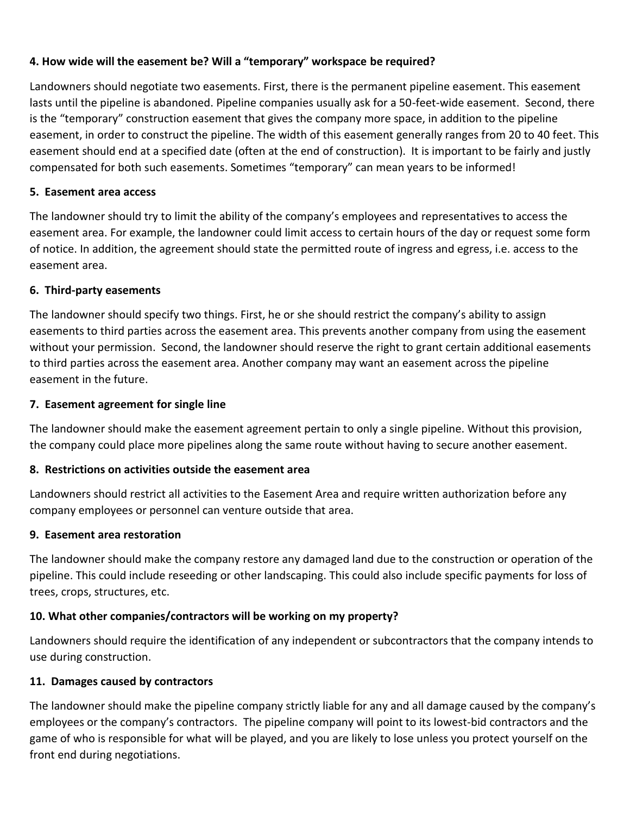## **4. How wide will the easement be? Will a "temporary" workspace be required?**

Landowners should negotiate two easements. First, there is the permanent pipeline easement. This easement lasts until the pipeline is abandoned. Pipeline companies usually ask for a 50-feet-wide easement. Second, there is the "temporary" construction easement that gives the company more space, in addition to the pipeline easement, in order to construct the pipeline. The width of this easement generally ranges from 20 to 40 feet. This easement should end at a specified date (often at the end of construction). It is important to be fairly and justly compensated for both such easements. Sometimes "temporary" can mean years to be informed!

## **5. Easement area access**

The landowner should try to limit the ability of the company's employees and representatives to access the easement area. For example, the landowner could limit access to certain hours of the day or request some form of notice. In addition, the agreement should state the permitted route of ingress and egress, i.e. access to the easement area.

## **6. Third-party easements**

The landowner should specify two things. First, he or she should restrict the company's ability to assign easements to third parties across the easement area. This prevents another company from using the easement without your permission. Second, the landowner should reserve the right to grant certain additional easements to third parties across the easement area. Another company may want an easement across the pipeline easement in the future.

## **7. Easement agreement for single line**

The landowner should make the easement agreement pertain to only a single pipeline. Without this provision, the company could place more pipelines along the same route without having to secure another easement.

## **8. Restrictions on activities outside the easement area**

Landowners should restrict all activities to the Easement Area and require written authorization before any company employees or personnel can venture outside that area.

## **9. Easement area restoration**

The landowner should make the company restore any damaged land due to the construction or operation of the pipeline. This could include reseeding or other landscaping. This could also include specific payments for loss of trees, crops, structures, etc.

## **10. What other companies/contractors will be working on my property?**

Landowners should require the identification of any independent or subcontractors that the company intends to use during construction.

## **11. Damages caused by contractors**

The landowner should make the pipeline company strictly liable for any and all damage caused by the company's employees or the company's contractors. The pipeline company will point to its lowest-bid contractors and the game of who is responsible for what will be played, and you are likely to lose unless you protect yourself on the front end during negotiations.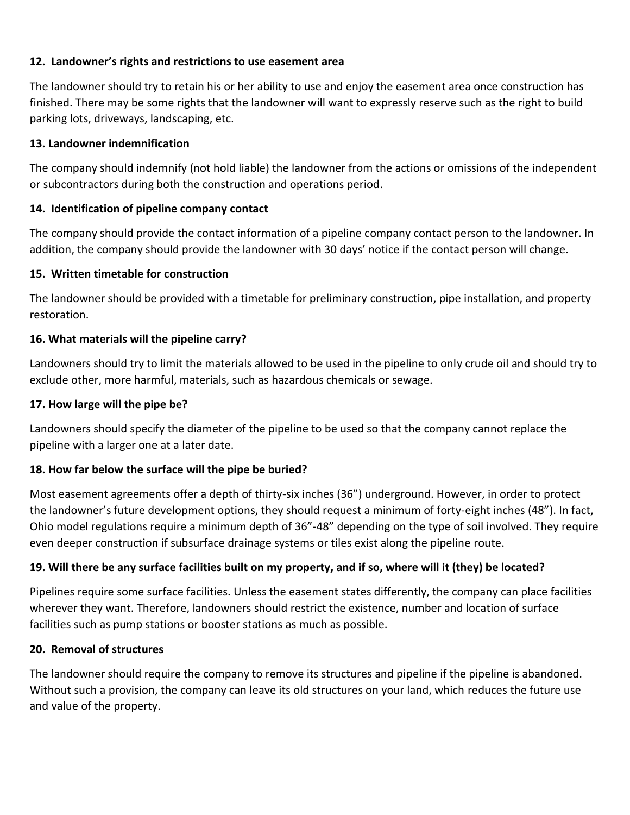## **12. Landowner's rights and restrictions to use easement area**

The landowner should try to retain his or her ability to use and enjoy the easement area once construction has finished. There may be some rights that the landowner will want to expressly reserve such as the right to build parking lots, driveways, landscaping, etc.

## **13. Landowner indemnification**

The company should indemnify (not hold liable) the landowner from the actions or omissions of the independent or subcontractors during both the construction and operations period.

## **14. Identification of pipeline company contact**

The company should provide the contact information of a pipeline company contact person to the landowner. In addition, the company should provide the landowner with 30 days' notice if the contact person will change.

## **15. Written timetable for construction**

The landowner should be provided with a timetable for preliminary construction, pipe installation, and property restoration.

## **16. What materials will the pipeline carry?**

Landowners should try to limit the materials allowed to be used in the pipeline to only crude oil and should try to exclude other, more harmful, materials, such as hazardous chemicals or sewage.

## **17. How large will the pipe be?**

Landowners should specify the diameter of the pipeline to be used so that the company cannot replace the pipeline with a larger one at a later date.

## **18. How far below the surface will the pipe be buried?**

Most easement agreements offer a depth of thirty-six inches (36") underground. However, in order to protect the landowner's future development options, they should request a minimum of forty-eight inches (48"). In fact, Ohio model regulations require a minimum depth of 36"-48" depending on the type of soil involved. They require even deeper construction if subsurface drainage systems or tiles exist along the pipeline route.

## **19. Will there be any surface facilities built on my property, and if so, where will it (they) be located?**

Pipelines require some surface facilities. Unless the easement states differently, the company can place facilities wherever they want. Therefore, landowners should restrict the existence, number and location of surface facilities such as pump stations or booster stations as much as possible.

## **20. Removal of structures**

The landowner should require the company to remove its structures and pipeline if the pipeline is abandoned. Without such a provision, the company can leave its old structures on your land, which reduces the future use and value of the property.